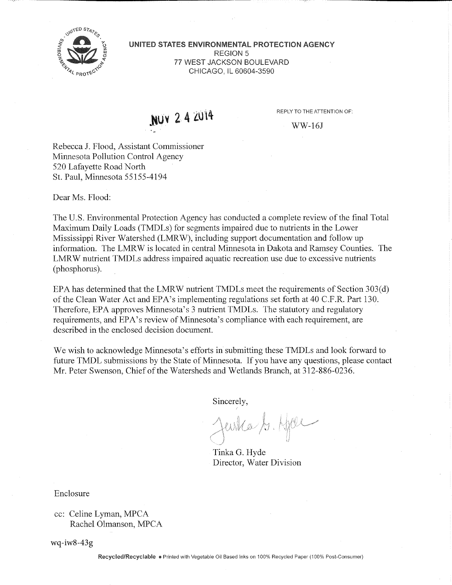

**UNITED STATES ENVIRONMENTAL PROTECTION AGENCY**  REGION 5 77 WEST JACKSON BOULEVARD CHICAGO, IL 60604-3590

NUY 2 4 2014

REPLY TO THE ATTENTION OF:

WW-16J

Rebecca J. Flood, Assistant Commissioner Minnesota Pollution Control Agency 520 Lafayette Road North St. Paul, Minnesota 55155-4194

Dear Ms. Flood:

The U.S. Environmental Protection Agency has conducted a complete review of the final Total Maximum Daily Loads (TMDLs) for segments impaired due to nutrients in the Lower Mississippi River Watershed (LMRW), including support documentation and follow up information. The LMRW is located in central Minnesota in Dakota and Ramsey Counties. The LMR W nutrient TMDLs address impaired aquatic recreation use due to excessive nutrients (phosphorus).

E PA has determined that the LMRW nutrient TMDLs meet the requirements of Section 303(d) of the Clean Water Act and EPA's implementing regulations set forth at 40 C.F.R. Part 130. Therefore, EPA approves Minnesota's 3 nutrient TMDLs. The statutory and regulatory requirements, and EPA's review of Minnesota's compliance with each requirement, are described in the enclosed decision document.

We wish to acknowledge Minnesota's efforts in submitting these TMDLs and look forward to future TMDL submissions by the State of Minnesota. If you have any questions, please contact Mr. Peter Swenson, Chief of the Watersheds and Wetlands Branch, at 312-886-0236.

Sincerely,

Jewka S. Hjær

Tinka G. Hyde Director, Water Division

Enclosure

wq-iw8-43g

**Recycled/Recyclable** • Printed with Vegetable Oil Based Inks on 100% Recycled Paper (100% Post-Consumer)

cc: Celine Lyman, MPCA Rachel Olmanson, MPCA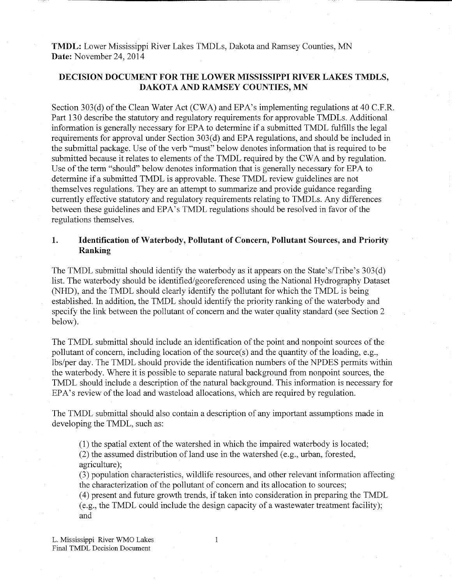**TMDL:** Lower Mississippi River Lakes TMDLs, Dakota and Ramsey Counties, M N **Date:** November 24, 2014

## **DECISION DOCUMENT FOR THE LOWER MISSISSIPPI RIVER LAKES TMDLS, DAKOTA AND RAMSEY COUNTIES, MN**

Section 303(d) of the Clean Water Act (CWA) and EPA's implementing regulations at 40 C.F.R. Part 130 describe the statutory and regulatory requirements for approvable TMDLs. Additional information is generally necessary for EPA to determine if a submitted TMDL fulfills the legal requirements for approval under Section 303(d) and EPA regulations, and should be included in the submittal package. Use of the verb "must" below denotes information that is required to be submitted because it relates to elements of the TMDL required by the CWA and by regulation. Use of the term "should" below denotes information that is generally necessary for EPA to determine if a submitted TMDL is approvable. These TMDL review guidelines are not themselves regulations. They are an attempt to summarize and provide guidance regarding currently effective statutory and regulatory requirements relating to TMDLs. Any differences between these guidelines and EPA's TMDL regulations should be resolved in favor of the regulations themselves.

# **1. Identification of Waterbody, Pollutant of Concern, Pollutant Sources, and Priority Ranking**

The TMDL submittal should identify the waterbody as it appears on the State's/Tribe's 303(d) list. The waterbody should be identified/georeferenced using the National Hydrography Dataset (NHD), and the TMDL should clearly identify the pollutant for which the TMDL is being established. In addition, the TMDL should identify the priority ranking of the waterbody and specify the link between the pollutant of concern and the water quality standard (see Section 2 below).

The TMDL submittal should include an identification of the point and nonpoint sources of the pollutant of concern, including location of the source(s) and the quantity of the loading, e.g., lbs/per day. The TMDL should provide the identification numbers of the NPDES permits within the waterbody. Where it is possible to separate natural background from nonpoint sources, the TMDL should include a description of the natural background. This information is necessary for EPA's review of the load and wasteload allocations, which are required by regulation.

The TMDL submittal should also contain a description of any important assumptions made in developing the TMDL, such as:

(1) the spatial extent of the watershed in which the impaired waterbody is located; (2) the assumed distribution of land use in the watershed (e.g., urban, forested, agriculture);

(3) population characteristics, wildlife resources, and other relevant information affecting the characterization of the pollutant of concern and its allocation to sources;

(4) present and future growth trends, if taken into consideration in preparing the TMDL (e.g., the TMDL could include the design capacity of a wastewater treatment facility); and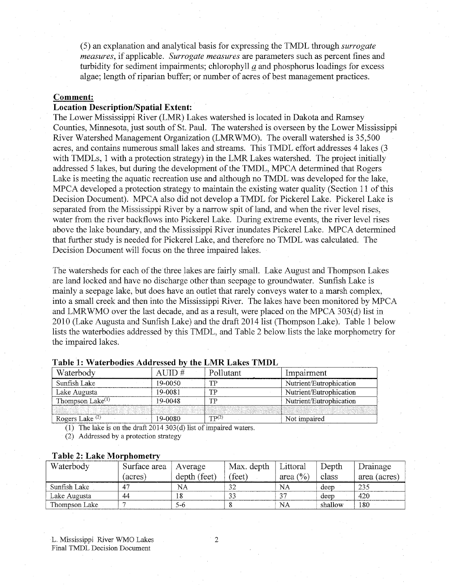(5) an explanation and analytical basis for expressing the TMDL through *surrogate measures,* if applicable. *Surrogate measures* are parameters such as percent fines and turbidity for sediment impairments; chlorophyll *a* and phosphorus loadings for excess algae; length of riparian buffer; or number of acres of best management practices.

## **Comment:**

### **Location Description/Spatial Extent:**

The Lower Mississippi River (LMR) Lakes watershed is located in Dakota and Ramsey Counties, Minnesota, just south of St. Paul. The watershed is overseen by the Lower Mississippi River Watershed Management Organization (LMRWMO). The overall watershed is 35,500 acres, and contains numerous small lakes and streams. This TMDL effort addresses 4 lakes (3 with TMDLs, 1 with a protection strategy) in the LMR Lakes watershed. The project initially addressed 5 lakes, but during the development of the TMDL, MPCA determined that Rogers Lake is meeting the aquatic recreation use and although no TMDL was developed for the lake, MPCA developed a protection strategy to maintain the existing water quality (Section 11 of this Decision Document). MPCA also did not develop a TMDL for Pickerel Lake. Pickerel Lake is separated from the Mississippi River by a narrow spit of land, and when the river level rises, water from the river backflows into Pickerel Lake. During extreme events, the river level rises above the lake boundary, and the Mississippi River inundates Pickerel Lake. MPCA determined that further study is needed for Pickerel Lake, and therefore no TMDL was calculated. The Decision Document will focus on the three impaired lakes.

The watersheds for each of the three lakes are fairly small. Lake August and Thompson Lakes are land locked and have no discharge other than seepage to groundwater. Sunfish Lake is mainly a seepage lake, but does have an outlet that rarely conveys water to a marsh complex, into a small creek and then into the Mississippi River. The lakes have been monitored by MPCA and LMRWMO over the last decade, and as a result, were placed on the MPCA 303(d) list in 2010 (Lake Augusta and Sunfish Lake) and the draft 2014 list (Thompson Lake). Table 1 below lists the waterbodies addressed by this TMDL, and Table 2 below lists the lake morphometry for the impaired lakes.

| Waterbody                                                                                                            |                  | mpairment               |
|----------------------------------------------------------------------------------------------------------------------|------------------|-------------------------|
| Suntish Lake                                                                                                         | TT.              | Nutrient/Eutrophication |
| ∟ake Augusta                                                                                                         | TTT              | Nutrient/Eutrophication |
| hompson                                                                                                              | <b>TTT</b>       | Nutrient/Eutrophication |
| <u>i se provincia de la contrada de la contrada de la contrada de la contrada de la contrada de la contrada de l</u> |                  |                         |
| رشا دوج<br>KOgers.                                                                                                   | $\mathbf{TP}(2)$ | impaired                |

### Table 1: Waterbodies Addressed by the LMR Lakes TMDL

(1) The lake is on the draft 2014 303(d) list of impaired waters.

(2) Addressed by a protection strategy

#### **Table 2: Lake Morphometry**

| Waterbody     | Surface area | Average      | Max. depth | Littoral             | Depth   | Drainage     |
|---------------|--------------|--------------|------------|----------------------|---------|--------------|
|               | (acres)      | depth (feet) | feet)      | area $(\frac{6}{6})$ | class   | area (acres) |
| Sunfish Lake  | $4^{\circ}$  | NA           | 32         | NА                   | deep    | 235          |
| Lake Augusta  | -44          |              | 33         | $\gamma$             | deep    | 420          |
| Thompson Lake |              | 5-6          |            | NА                   | shallow | 180          |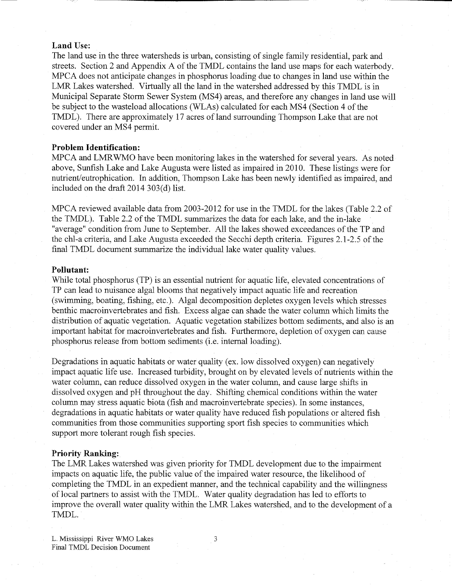### **Land Use:**

The land use in the three watersheds is urban, consisting of single family residential, park and streets. Section 2 and Appendix A of the TMDL contains the land use maps for each waterbody. MPCA does not anticipate changes in phosphorus loading due to changes in land use within the LMR Lakes watershed. Virtually all the land in the watershed addressed by this TMDL is in Municipal Separate Storm Sewer System (MS4) areas, and therefore any changes in land use will be subject to the wasteload allocations (WLAs) calculated for each MS4 (Section 4 of the TMDL). There are approximately 17 acres of land surrounding Thompson Lake that are not covered under an MS4 permit.

# **Problem Identification:**

MPCA and LMRWMO have been monitoring lakes in the watershed for several years. As noted above, Sunfish Lake and Lake Augusta were listed as impaired in 2010. These listings were for nutrient/eutrophication. In addition, Thompson Lake has been newly identified as impaired, and included on the draft 2014 303(d) list.

MPCA reviewed available data from 2003-2012 for use in the TMDL for the lakes (Table 2.2 of the TMDL). Table 2.2 of the TMDL summarizes the data for each lake, and the in-lake "average" condition from June to September. All the lakes showed exceedances of the TP and the chl-a criteria, and Lake Augusta exceeded the Secchi depth criteria. Figures 2.1-2.5 of the final TMDL document summarize the individual lake water quality values.

#### **Pollutant:**

While total phosphorus (TP) is an essential nutrient for aquatic life, elevated concentrations of TP can lead to nuisance algal blooms that negatively impact aquatic life and recreation (swimming, boating, fishing, etc.). Algal decomposition depletes oxygen levels which stresses benthic macroinvertebrates and fish. Excess algae can shade the water column which limits the distribution of aquatic vegetation. Aquatic vegetation stabilizes bottom sediments, and also is an important habitat for macroinvertebrates and fish. Furthermore, depletion of oxygen can cause phosphorus release from bottom sediments (i.e. internal loading).

Degradations in aquatic habitats or water quality (ex. low dissolved oxygen) can negatively impact aquatic life use. Increased turbidity, brought on by elevated levels of nutrients within the water column, can reduce dissolved oxygen in the water column, and cause large shifts in dissolved oxygen and pH throughout the day. Shifting chemical conditions within the water column may stress aquatic biota (fish and macroinvertebrate species). In some instances, degradations in aquatic habitats or water quality have reduced fish populations or altered fish communities from those communities supporting sport fish species to communities which support more tolerant rough fish species.

#### **Priority Ranking:**

The LMR Lakes watershed was given priority for TMDL development due to the impairment impacts on aquatic life, the public value of the impaired water resource, the likelihood of completing the TMDL in an expedient manner, and the technical capability and the willingness of local partners to assist with the TMDL. Water quality degradation has led to efforts to improve the overall water quality within the LMR Lakes watershed, and to the development of a TMDL.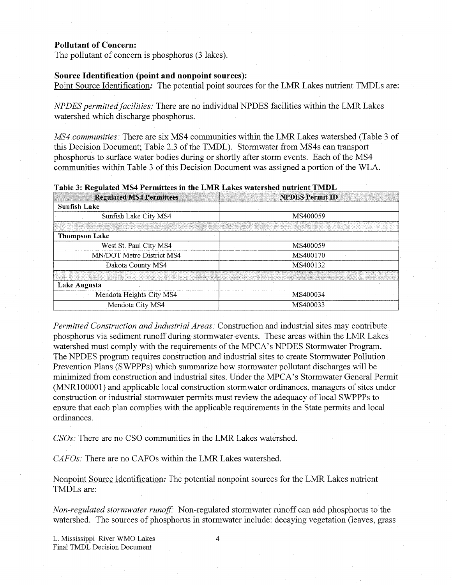#### **Pollutant of Concern:**

The pollutant of concern is phosphorus (3 lakes). The pollutant of concern is phosphorus (3 lakes).

### Source Identification (point and nonpoint sources):

Point Source Identification: The potential point sources for the LMR Lakes nutrient TMDLs are:

*NPDES permitted facilities:* There are no individual NPDES facilities within the LMR Lakes watershed which discharge phosphorus.

*MS4 communities:* There are six MS4 communities within the LMR Lakes watershed (Table 3 of this Decision Document; Table 2.3 of the TMDL). Stormwater from MS4s can transport phosphorus to surface water bodies during or shortly after storm events. Each of the MS4 communities within Table 3 of this Decision Document was assigned a portion of the WLA.

| <b>Regulated MS4 Permittees</b> | <b>NPDES Permit ID</b> |  |  |
|---------------------------------|------------------------|--|--|
| <b>Sunfish Lake</b>             |                        |  |  |
| Sunfish Lake City MS4           | MS400059               |  |  |
|                                 |                        |  |  |
| <b>Thompson Lake</b>            |                        |  |  |
| West St. Paul City MS4          | MS400059               |  |  |
| MN/DOT Metro District MS4       | MS400170               |  |  |
| Dakota County MS4               | MS400132               |  |  |
|                                 |                        |  |  |
| Lake Augusta                    |                        |  |  |
| Mendota Heights City MS4        | MS400034               |  |  |
| Mendota City MS4                | MS400033               |  |  |

**Table 3: Regulated MS4 Permittees in the LMR Lakes watershed nutrient TMDL** 

*Permitted Construction and Industrial Areas:* Construction and industrial sites may contribute phosphorus via sediment runoff during stormwater events. These areas within the LMR Lakes watershed must comply with the requirements of the MPCA's NPDES Stormwater Program. The NPDES program requires construction and industrial sites to create Stormwater Pollution Prevention Plans (SWPPPs) which summarize how stormwater pollutant discharges will be minimized from construction and industrial sites. Under the MPCA's Stormwater General Permit (MNR100001) and applicable local construction stormwater ordinances, managers of sites under construction or industrial stormwater permits must review the adequacy of local SWPPPs to ensure that each plan complies with the applicable requirements in the State permits and local ordinances.

*CSOs:* There are no CSO communities in the LMR Lakes watershed.

*CAFOs:* There are no CAFOs within the LMR Lakes watershed.

Nonpoint Source Identification: The potential nonpoint sources for the LMR Lakes nutrient TMDLs are:

*Non-regulated stormwater runoff:* Non-regulated stormwater runoff can add phosphorus to the watershed. The sources of phosphorus in stormwater include: decaying vegetation (leaves, grass

L. Mississippi River WMO Lakes Final TMDL Decision Document

4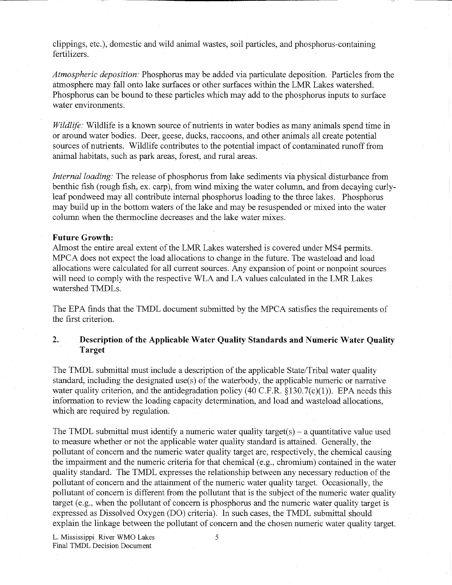clippings, etc.), domestic and wild animal wastes, soil particles, and phosphorus-containing fertilizers.

*Atmospheric deposition:* Phosphorus may be added via particulate deposition. Particles from the atmosphere may fall onto lake surfaces or other surfaces within the LMR Lakes watershed. Phosphorus can be bound to these particles which may add to the phosphorus inputs to surface water environments.

*Wildlife:* Wildlife is a known source of nutrients in water bodies as many animals spend time in or around water bodies. Deer, geese, ducks, raccoons, and other animals all create potential sources of nutrients. Wildlife contributes to the potential impact of contaminated runoff from animal habitats, such as park areas, forest, and rural areas.

*Internal loading:* The release of phosphorus from lake sediments via physical disturbance from benthic fish (rough fish, ex. carp), from wind mixing the water column, and from decaying curlyleaf pondweed may all contribute internal phosphorus loading to the three lakes. Phosphorus may build up in the bottom waters of the lake and may be resuspended or mixed into the water column when the thermocline decreases and the lake water mixes.

#### **Future Growth:**

Almost the entire areal extent of the LMR Lakes watershed is covered under MS4 permits. MPCA does not expect the load allocations to change in the future. The wasteload and load allocations were calculated for all current sources. Any expansion of point or nonpoint sources will need to comply with the respective WLA and LA values calculated in the LMR Lakes watershed TMDLs.

The EPA finds that the TMDL document submitted by the MPCA satisfies the requirements of the first criterion.

**2. Description of the Applicable Water Quality Standards and Numeric Water Quality Target** 

The TMDL submittal must include a description of the applicable State/Tribal water quality standard, including the designated use(s) of the waterbody, the applicable numeric or narrative water quality criterion, and the antidegradation policy (40 C.F.R.  $\S$ 130.7(c)(1)). EPA needs this information to review the loading capacity determination, and load and wasteload allocations, which are required by regulation.

The TMDL submittal must identify a numeric water quality target(s) – a quantitative value used to measure whether or not the applicable water quality standard is attained. Generally, the pollutant of concern and the numeric water quality target are, respectively, the chemical causing the impairment and the numeric criteria for that chemical (e.g., chromium) contained in the water quality standard. The TMDL expresses the relationship between any necessary reduction of the pollutant of concern and the attainment of the numeric water quality target. Occasionally, the pollutant of concern is different from the pollutant that is the subject of the numeric water quality target (e.g., when the pollutant of concern is phosphorus and the numeric water quality target is expressed as Dissolved Oxygen (DO) criteria). In such cases, the TMDL submittal should explain the linkage between the pollutant of concern and the chosen numeric water quality target.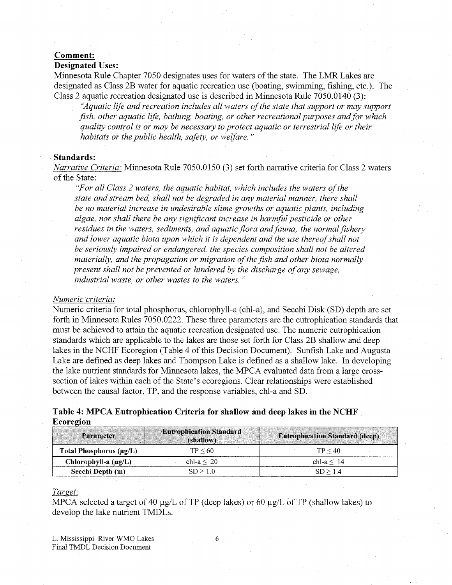## **Comment:**

## **Designated Uses:**

Minnesota Rule Chapter 7050 designates uses for waters of the state. The LMR Lakes are designated as Class 2B water for aquatic recreation use (boating, swimming, fishing, etc.). The Class 2 aquatic recreation designated use is described in Minnesota Rule 7050.0140 (3):

*"Aquatic life and recreation includes all waters of the state that support or may support fish, other aquatic life, bathing, boating, or other recreational purposes and for which quality control is or may be necessary to protect aquatic or terrestrial life or their habitats or the public health, safety, or welfare. "* 

#### **Standards:**

*Narrative Criteria:* Minnesota Rule 7050.0150 (3) set forth narrative criteria for Class 2 waters of the State:

*"For all Class 2 waters, the aquatic habitat, which includes the waters of the state and stream bed, shall not be degraded in any material manner, there shall be no material increase in undesirable slime growths or aquatic plants, including algae, nor shall there be any significant increase in harmful pesticide or other residues in the waters, sediments, and aquatic flora andfauna; the normal fishery and lower aquatic biota upon which it is dependent and the use thereof shall not be seriously impaired or endangered, the species composition shall not be altered materially, and the propagation or migration of the fish and other biota normally present shall not be prevented or hindered by the discharge of any sewage, industrial waste, or other wastes to the waters. "* 

#### *Numeric criteria:*

Numeric criteria for total phosphorus, chlorophyll-a (chl-a), and Secchi Disk (SD) depth are set forth in Minnesota Rules 7050.0222. These three parameters are the eutrophication standards that must be achieved to attain the aquatic recreation designated use. The numeric eutrophication standards which are applicable to the lakes are those set forth for Class 2B shallow and deep lakes in the NCHF Ecoregion (Table 4 of this Decision Document). Sunfish Lake and Augusta Lake are defined as deep lakes and Thompson Lake is defined as a shallow lake. In developing the lake nutrient standards for Minnesota lakes, the MPCA evaluated data from a large crosssection of lakes within each of the State's ecoregions. Clear relationships were established between the causal factor, TP, and the response variables, chl-a and SD.

| Table 4: MPCA Eutrophication Criteria for shallow and deep lakes in the NCHF |  |  |  |
|------------------------------------------------------------------------------|--|--|--|
| Ecoregion                                                                    |  |  |  |

| Parameter                    | <b>Eutrophication Standard</b><br>(shallow) | <b>Eutrophication Standard (deep)</b> |
|------------------------------|---------------------------------------------|---------------------------------------|
| Total Phosphorus $(\mu g/L)$ | TP < 60                                     | TP < 40                               |
| Chlorophyll-a $(\mu g/L)$    | chl-a $\leq$ 20                             | chl- $a < 14$                         |
| Secchi Depth (m)             | SD > 1.0                                    | SD > 1.4                              |

## *Target:*

MPCA selected a target of 40  $\mu$ g/L of TP (deep lakes) or 60  $\mu$ g/L of TP (shallow lakes) to develop the lake nutrient TMDLs.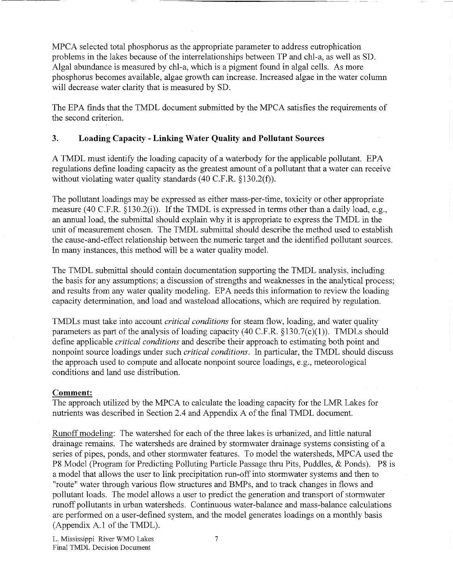MPCA selected total phosphorus as the appropriate parameter to address eutrophication problems in the lakes because of the interrelationships between TP and chl-a, as well as SD. Algal abundance is measured by chl-a, which is a pigment found in algal cells. As more phosphorus becomes available, algae growth can increase. Increased algae in the water column will decrease water clarity that is measured by SD.

The EPA finds that the TMDL document submitted by the MPCA satisfies the requirements of the second criterion.

## **3. Loading Capacity - Linking Water Quality and Pollutant Sources**

A TMDL must identify the loading capacity of a waterbody for the applicable pollutant. EPA regulations define loading capacity as the greatest amount of a pollutant that a water can receive without violating water quality standards (40 C.F.R. §130.2(f)).

The pollutant loadings may be expressed as either mass-per-time, toxicity or other appropriate measure (40 C.F.R. §130.2(i)). If the TMDL is expressed in terms other than a daily load, e.g., an annual load, the submittal should explain why it is appropriate to express the TMDL in the unit of measurement chosen. The TMDL submittal should describe the method used to establish the cause-and-effect relationship between the numeric target and the identified pollutant sources. In many instances, this method will be a water quality model.

The TMDL submittal should contain documentation supporting the TMDL analysis, including the basis for any assumptions; a discussion of strengths and weaknesses in the analytical process; and results from any water quality modeling. EPA needs this information to review the loading capacity determination, and load and wasteload allocations, which are required by regulation.

TMDLs must take into account *critical conditions* for steam flow, loading, and water quality parameters as part of the analysis of loading capacity (40 C.F.R.  $\S$ 130.7(c)(1)). TMDLs should define applicable *critical conditions* and describe their approach to estimating both point and nonpoint source loadings under such *critical conditions.* In particular, the TMDL should discuss the approach used to compute and allocate nonpoint source loadings, e.g., meteorological conditions and land use distribution.

## **Comment:**

The approach utilized by the MPCA to calculate the loading capacity for the LMR Lakes for nutrients was described in Section 2.4 and Appendix A of the final TMDL document.

Runoff modeling: The watershed for each of the three lakes is urbanized, and little natural drainage remains. The watersheds are drained by stormwater drainage systems consisting of a series of pipes, ponds, and other stormwater features. To model the watersheds, MPCA used the P8 Model (Program for Predicting Polluting Particle Passage thru Pits, Puddles, & Ponds). P8 is a model that allows the user to link precipitation run-off into stormwater systems and then to "route" water through various flow structures and BMPs, and to track changes in flows and pollutant loads. The model allows a user to predict the generation and transport of stormwater runoff pollutants in urban watersheds. Continuous water-balance and mass-balance calculations are performed on a user-defined system, and the model generates loadings on a monthly basis (Appendix  $A.1$  of the TMDL).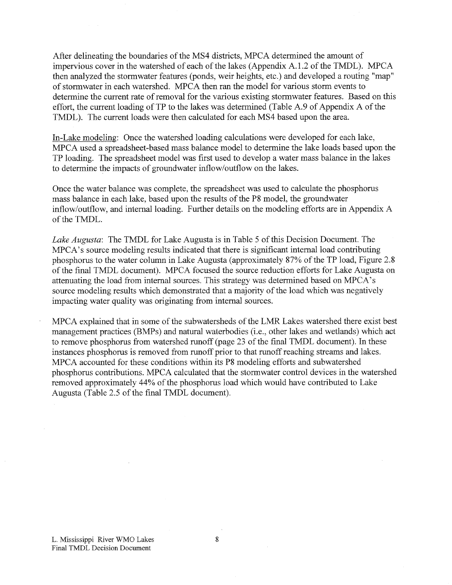After delineating the boundaries of the MS4 districts, MPCA determined the amount of impervious cover in the watershed of each of the lakes (Appendix A.1.2 of the TMDL). MPCA then analyzed the stormwater features (ponds, weir heights, etc.) and developed a routing "map" of stormwater in each watershed. MPCA then ran the model for various storm events to determine the current rate of removal for the various existing stormwater features. Based on this effort, the current loading of TP to the lakes was determined (Table A.9 of Appendix A of the TMDL). The current loads were then calculated for each MS4 based upon the area.

In-Lake modeling: Once the watershed loading calculations were developed for each lake, MPCA used a spreadsheet-based mass balance model to determine the lake loads based upon the TP loading. The spreadsheet model was first used to develop a water mass balance in the lakes to determine the impacts of groundwater inflow/outflow on the lakes.

Once the water balance was complete, the spreadsheet was used to calculate the phosphorus mass balance in each lake, based upon the results of the P8 model, the groundwater inflow/outflow, and internal loading. Further details on the modeling efforts are in Appendix A of the TMDL.

*Lake Augusta:* The TMDL for Lake Augusta is in Table 5 of this Decision Document. The MPCA's source modeling results indicated that there is significant internal load contributing phosphorus to the water column in Lake Augusta (approximately 87% of the TP load, Figure 2.8 of the final TMDL document). MPCA focused the source reduction efforts for Lake Augusta on attenuating the load from internal sources. This strategy was determined based on MPCA's source modeling results which demonstrated that a majority of the load which was negatively impacting water quality was originating from internal sources.

MPCA explained that in some of the subwatersheds of the LMR Lakes watershed there exist best management practices (BMPs) and natural waterbodies (i.e., other lakes and wetlands) which act to remove phosphorus from watershed runoff (page 23 of the final TMDL document). In these instances phosphorus is removed from runoff prior to that runoff reaching streams and lakes. MPCA accounted for these conditions within its P8 modeling efforts and subwatershed phosphorus contributions. MPCA calculated that the stormwater control devices in the watershed removed approximately 44% of the phosphorus load which would have contributed to Lake Augusta (Table 2.5 of the final TMDL document).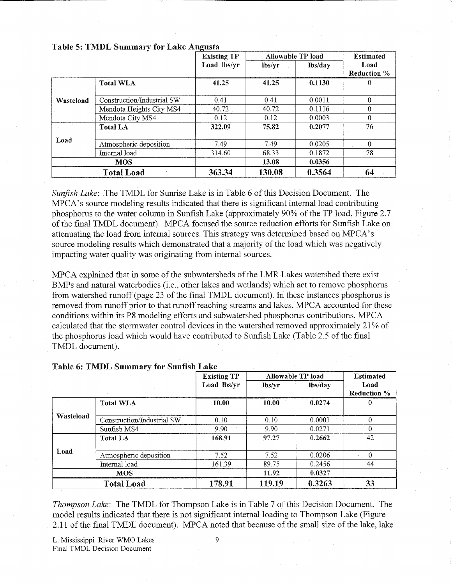|           |                            | <b>Existing TP</b> | Allowable TP load | <b>Estimated</b> |                            |
|-----------|----------------------------|--------------------|-------------------|------------------|----------------------------|
|           |                            | Load lbs/yr        | lbs/vr            | lbs/day          | Load<br><b>Reduction %</b> |
|           | <b>Total WLA</b>           | 41.25              | 41.25             | 0.1130           |                            |
| Wasteload | Construction/Industrial SW | 0.41               | 0.41              | 0.0011           | $\Omega$                   |
|           | Mendota Heights City MS4   | 40.72              | 40.72             | 0.1116           | $\Omega$                   |
|           | Mendota City MS4           | 0.12               | 0.12              | 0.0003           | $\overline{0}$             |
|           | <b>Total LA</b>            | 322.09             | 75.82             | 0.2077           | 76                         |
| Load      | Atmospheric deposition     | 7.49               | 7.49              | 0.0205           | $\Omega$                   |
|           | Internal load              | 314.60             | 68.33             | 0.1872           | 78                         |
|           | <b>MOS</b>                 |                    | 13.08             | 0.0356           |                            |
|           | <b>Total Load</b>          | 363.34             | 130.08            | 0.3564           | 64                         |

### **Table 5: TMDL Summary for Lake Augusta**

*Sunfish Lake:* The TMDL for Sunrise Lake is in Table 6 of this Decision Document. The MPCA's source modeling results indicated that there is significant internal load contributing phosphorus to the water column in Sunfish Lake (approximately 90% of the TP load, Figure 2.7 of the final TMDL document). MPCA focused the source reduction efforts for Sunfish Lake on attenuating the load from internal sources. This strategy was determined based on MPCA's source modeling results which demonstrated that a majority of the load which was negatively impacting water quality was originating from internal sources.

MPCA explained that in some of the subwatersheds of the LMR Lakes watershed there exist BMPs and natural waterbodies (i.e., other lakes and wetlands) which act to remove phosphorus from watershed runoff (page 23 of the final TMDL document). In these instances phosphorus is removed from runoff prior to that runoff reaching streams and lakes. MPCA accounted for these conditions within its P8 modeling efforts and subwatershed phosphorus contributions. MPCA calculated that the stormwater control devices in the watershed removed approximately 21% of the phosphorus load which would have contributed to Sunfish Lake (Table 2.5 of the final TMDL document).

|           |                            | <b>Existing TP</b> |        | Allowable TP load | <b>Estimated</b> |
|-----------|----------------------------|--------------------|--------|-------------------|------------------|
|           |                            | Load lbs/yr        | lbs/yr | lbs/day           | Load             |
|           |                            |                    |        |                   | Reduction %      |
|           | <b>Total WLA</b>           | 10.00              | 10.00  | 0.0274            |                  |
|           |                            |                    |        |                   |                  |
| Wasteload | Construction/Industrial SW | 0.10               | 0.10   | 0.0003            |                  |
|           | Sunfish MS4                | 9.90               | 9.90   | 0.0271            | 0                |
|           | <b>Total LA</b>            | 168.91             | 97.27  | 0.2662            | 42               |
| Load      |                            |                    |        |                   |                  |
|           | Atmospheric deposition     | 7.52               | 7.52   | 0.0206            | ×.               |
|           | Internal load              | 161.39             | 89.75  | 0.2456            | 44               |
|           | <b>MOS</b>                 |                    | 11.92  | 0.0327            |                  |
|           | <b>Total Load</b>          | 178.91             | 119.19 | 0.3263            | 33               |

#### **Table 6: TMDL Summary for Sunfish Lake**

*Thompson Lake:* The TMDL for Thompson Lake is in Table 7 of this Decision Document. The model results indicated that there is not significant internal loading to Thompson Lake (Figure 2.11 of the final TMDL document). MPCA noted that because of the small size of the lake, lake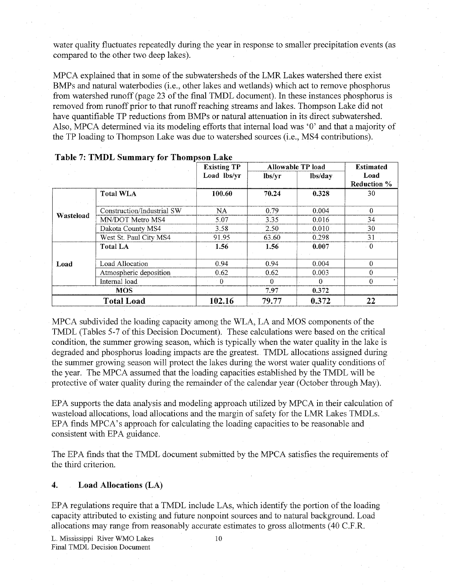water quality fluctuates repeatedly during the year in response to smaller precipitation events (as compared to the other two deep lakes).

MPCA explained that in some of the subwatersheds of the LMR Lakes watershed there exist BMPs and natural waterbodies (i.e., other lakes and wetlands) which act to remove phosphorus from watershed runoff (page 23 of the final TMDL document). In these instances phosphorus is removed from runoff prior to that runoff reaching streams and lakes. Thompson Lake did not have quantifiable TP reductions from BMPs or natural attenuation in its direct subwatershed. Also, MPCA determined via its modeling efforts that internal load was '0' and that a majority of the TP loading to Thompson Lake was due to watershed sources (i.e., MS4 contributions).

|           |                            | <b>Existing TP</b> |        | Allowable TP load | <b>Estimated</b>   |
|-----------|----------------------------|--------------------|--------|-------------------|--------------------|
|           |                            | Load lbs/yr        | lbs/yr | lbs/day           | Load               |
|           |                            |                    |        |                   | <b>Reduction %</b> |
|           | <b>Total WLA</b>           | 100.60             | 70.24  | 0.328             | 30                 |
|           |                            |                    |        |                   |                    |
| Wasteload | Construction/Industrial SW | <b>NA</b>          | 0.79   | 0.004             | $\Omega$           |
|           | MN/DOT Metro MS4           | 5.07               | 3.35   | 0.016             | 34                 |
|           | Dakota County MS4          | 3.58               | 2.50   | 0.010             | 30                 |
|           | West St. Paul City MS4     | 91.95              | 63.60  | 0.298             | 31                 |
|           | <b>Total LA</b>            | 1.56               | 1.56   | 0.007             | $\cdot$ 0          |
|           |                            |                    |        |                   |                    |
| Load      | Load Allocation            | 0.94               | 0.94   | 0.004             | $\Omega$           |
|           | Atmospheric deposition     | 0.62               | 0.62   | 0.003             | $\Omega$           |
|           | Internal load              | $^{\circ}$ 0       | 0      | $\Omega$          | $\Omega$           |
|           | <b>MOS</b>                 |                    | 7.97   | 0.372             |                    |
|           | <b>Total Load</b>          | 102.16             | 79.77  | 0.372             | 22                 |

|  |  | Table 7: TMDL Summary for Thompson Lake |
|--|--|-----------------------------------------|
|--|--|-----------------------------------------|

MPCA subdivided the loading capacity among the WLA, LA and MOS components of the TMDL (Tables 5-7 of this Decision Document). These calculations were based on the critical condition, the summer growing season, which is typically when the water quality in the lake is degraded and phosphorus loading impacts are the greatest. TMDL allocations assigned during the summer growing season will protect the lakes during the worst water quality conditions of the year. The MPCA assumed that the loading capacities established by the TMDL will be protective of water quality during the remainder of the calendar year (October through May).

E PA supports the data analysis and modeling approach utilized by MPC A in their calculation of wasteload allocations, load allocations and the margin of safety for the LMR Lakes TMDLs. E PA finds MPCA's approach for calculating the loading capacities to be reasonable and consistent with EPA guidance.

The EPA finds that the TMDL document submitted by the MPC A satisfies the requirements of the third criterion.

### **4. Load Allocations (LA)**

EPA regulations require that a TMDL include LAs, which identify the portion of the loading capacity attributed to existing and future nonpoint sources and to natural background. Load allocations may range from reasonably accurate estimates to gross allotments (40 C.F.R.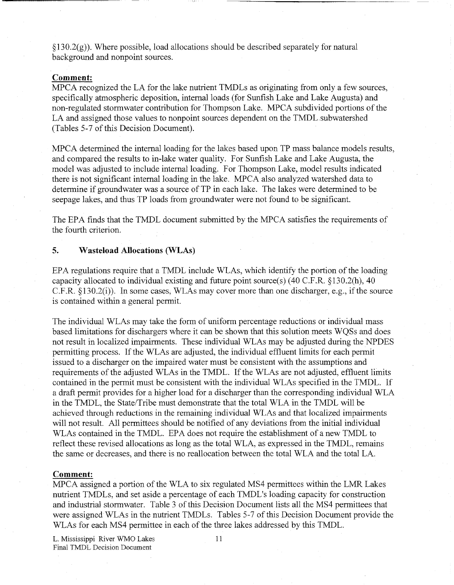$\S130.2(g)$ ). Where possible, load allocations should be described separately for natural background and nonpoint sources.

#### **Comment:**

MPCA recognized the LA for the lake nutrient TMDLs as originating from only a few sources, specifically atmospheric deposition, internal loads (for Sunfish Lake and Lake Augusta) and non-regulated stormwater contribution for Thompson Lake. MPCA subdivided portions of the LA and assigned those values to nonpoint sources dependent on the TMDL subwatershed (Tables 5-7 of this Decision Document).

MPCA determined the internal loading for the lakes based upon TP mass balance models results, and compared the results to in-lake water quality. For Sunfish Lake and Lake Augusta, the model was adjusted to include internal loading. For Thompson Lake, model results indicated there is not significant internal loading in the lake. MPC A also analyzed watershed data to determine if groundwater was a source of TP in each lake. The lakes were determined to be seepage lakes, and thus TP loads from groundwater were not found to be significant.

The EPA finds that the TMDL document submitted by the MPCA satisfies the requirements of the fourth criterion.

#### **5. Wasteload Allocations (WLAs)**

EPA regulations require that a TMDL include WLAs, which identify the portion of the loading capacity allocated to individual existing and future point source(s)  $(40 \text{ C.F.R. }$  §130.2(h), 40 C.F.R. § 130.2(f)). In some cases, WLAs may cover more than one discharger, e.g., if the source is contained within a general permit.

The individual WLAs may take the form of uniform percentage reductions or individual mass based limitations for dischargers where it can be shown that this solution meets WQSs and does not result in localized impairments. These individual WLAs may be adjusted during the NPDES permitting process. If the WLAs are adjusted, the individual effluent limits for each permit issued to a discharger on the impaired water must be consistent with the assumptions and requirements of the adjusted WLAs in the TMDL. If the WLAs are not adjusted, effluent limits contained in the permit must be consistent with the individual WLAs specified in the TMDL. If a draft permit provides for a higher load for a discharger than the corresponding individual WL A in the TMDL, the State/Tribe must demonstrate that the total WLA in the TMDL will be achieved through reductions in the remaining individual WLAs and that localized impairments will not result. All permittees should be notified of any deviations from the initial individual WLAs contained in the TMDL. EPA does not require the establishment of a new TMDL to reflect these revised allocations as long as the total WLA, as expressed in the TMDL, remains the same or decreases, and there is no reallocation between the total WL A and the total LA .

#### **Comment:**

MPCA assigned a portion of the WLA to six regulated MS4 permittees within the LMR Lakes nutrient TMDLs, and set aside a percentage of each TMDL's loading capacity for construction and industrial stormwater. Table 3 of this Decision Document lists all the MS4 permittees that were assigned WLAs in the nutrient TMDLs. Tables 5-7 of this Decision Document provide the WLAs for each MS4 permittee in each of the three lakes addressed by this TMDL.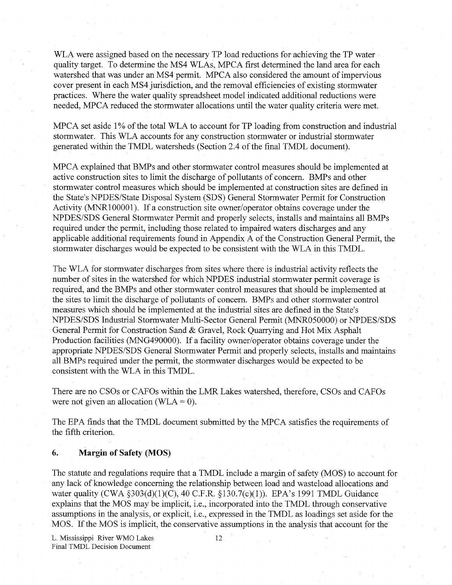WLA were assigned based on the necessary TP load reductions for achieving the TP water quality target. To determine the MS4 WLAs, MPCA first determined the land area for each watershed that was under an MS4 permit. MPCA also considered the amount of impervious cover present in each MS4 jurisdiction, and the removal efficiencies of existing stormwater practices. Where the water quality spreadsheet model indicated additional reductions were needed, MPCA reduced the stormwater allocations until the water quality criteria were met.

MPCA set aside 1% of the total WLA to account for TP loading from construction and industrial stormwater. This WLA accounts for any construction stormwater or industrial stormwater generated within the TMDL watersheds (Section 2.4 of the final TMDL document).

MPCA explained that BMPs and other stormwater control measures should be implemented at active construction sites to limit the discharge of pollutants of concern. BMPs and other stormwater control measures which should be implemented at construction sites are defined in the State's NPDES/State Disposal System (SDS) General Stormwater Permit for Construction Activity (MNR100001). If a construction site owner/operator obtains coverage under the NPDES/SDS General Stormwater Permit and properly selects, installs and maintains all BMPs required under the permit, including those related to impaired waters discharges and any applicable additional requirements found in Appendix A of the Construction General Permit, the stormwater discharges would be expected to be consistent with the WLA in this TMDL.

The WLA for stormwater discharges from sites where there is industrial activity reflects the number of sites in the watershed for which NPDES industrial stormwater permit coverage is required, and the BMPs and other stormwater control measures that should be implemented at the sites to limit the discharge of pollutants of concern. BMPs and other stormwater control measures which should be implemented at the industrial sites are defined in the State's NPDES/SDS Industrial Stormwater Multi-Sector General Permit (MNR050000) or NPDES/SDS General Permit for Construction Sand & Gravel, Rock Quarrying and Hot Mix Asphalt Production facilities (MNG490000). If a facility owner/operator obtains coverage under the appropriate NPDES/SDS General Stormwater Permit and properly selects, installs and maintains all BMPs required under the permit, the stormwater discharges would be expected to be consistent with the WLA in this TMDL.

There are no CSOs or CAFOs within the LMR Lakes watershed, therefore, CSOs and CAFOs were not given an allocation (WLA =  $0$ ).

The EPA finds that the TMDL document submitted by the MPCA satisfies the requirements of the fifth criterion.

#### **6. Margin of Safety (MOS)**

The statute and regulations require that a TMDL include a margin of safety (MOS) to account for any lack of knowledge concerning the relationship between load and wasteload allocations and water quality (CWA §303(d)(1)(C), 40 C.F.R. §130.7(c)(l)). EPA's 1991 TMDL Guidance explains that the MOS may be implicit, i.e., incorporated into the TMDL through conservative assumptions in the analysis, or explicit, i.e., expressed in the TMDL as loadings set aside for the MOS. If the MOS is implicit, the conservative assumptions in the analysis that account for the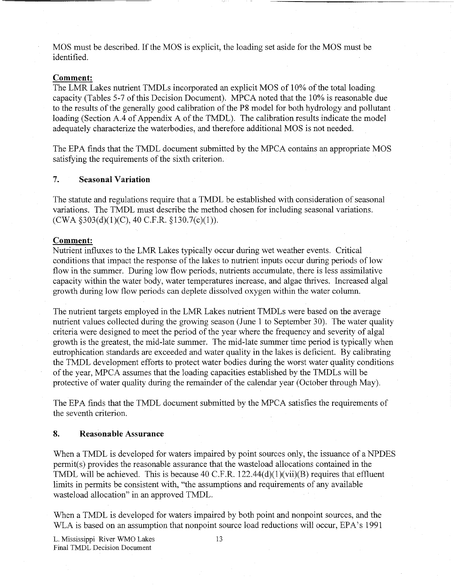MOS must be described. If the MOS is explicit, the loading set aside for the MOS must be identified.

#### **Comment:**

The LMR Lakes nutrient TMDLs incorporated an explicit MOS of 10% of the total loading capacity (Tables 5-7 of this Decision Document). MPC A noted that the 10% is reasonable due to the results of the generally good calibration of the P8 model for both hydrology and pollutant loading (Section A.4 of Appendix A of the TMDL). The calibration results indicate the model adequately characterize the waterbodies, and therefore additional MOS is not needed.

The EPA finds that the TMDL document submitted by the MPCA contains an appropriate MOS satisfying the requirements of the sixth criterion.

## **7. Seasonal Variation**

The statute and regulations require that a TMDL be established with consideration of seasonal variations. The TMDL must describe the method chosen for including seasonal variations.  $(CWA §303(d)(1)(C), 40 C.F.R. §130.7(c)(1)).$ 

#### **Comment:**

Nutrient influxes to the LMR Lakes typically occur during wet weather events. Critical conditions that impact the response of the lakes to nutrient inputs occur during periods of low flow in the summer. During low flow periods, nutrients accumulate, there is less assimilative capacity within the water body, water temperatures increase, and algae thrives. Increased algal growth during low flow periods can deplete dissolved oxygen within the water column.

The nutrient targets employed in the LMR Lakes nutrient TMDLs were based on the average nutrient values collected during the growing season (June 1 to September 30). The water quality criteria were designed to meet the period of the year where the frequency and severity of algal growth is the greatest, the mid-late summer. The mid-late summer time period is typically when eutrophication standards are exceeded and water quality in the lakes is deficient. By calibrating the TMDL development efforts to protect water bodies during the worst water quality conditions of the year, MPCA assumes that the loading capacities established by the TMDLs will be protective of water quality during the remainder of the calendar year (October through May).

The EPA finds that the TMDL document submitted by the MPCA satisfies the requirements of the seventh criterion.

### **8. Reasonable Assurance**

When a TMDL is developed for waters impaired by point sources only, the issuance of a NPDES permit(s) provides the reasonable assurance that the wasteload allocations contained in the TMDL will be achieved. This is because 40 C.F.R.  $122.44(d)(1)(vi)(B)$  requires that effluent limits in permits be consistent with, "the assumptions and requirements of any available wasteload allocation" in an approved TMDL.

When a TMDL is developed for waters impaired by both point and nonpoint sources, and the WLA is based on an assumption that nonpoint source load reductions will occur, EPA's 1991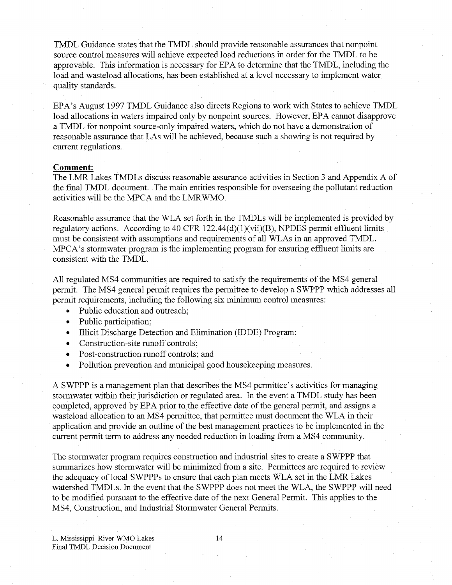TMDL Guidance states that the TMDL should provide reasonable assurances that nonpoint source control measures will achieve expected load reductions in order for the TMDL to be approvable. This information is necessary for EPA to determine that the TMDL, including the load and wasteload allocations, has been established at a level necessary to implement water quality standards.

EPA's August 1997 TMDL Guidance also directs Regions to work with States to achieve TMDL load allocations in waters impaired only by nonpoint sources. However, EPA cannot disapprove a TMDL for nonpoint source-only impaired waters, which do not have a demonstration of reasonable assurance that LAs will be achieved, because such a showing is not required by current regulations.

### **Comment:**

The LMR Lakes TMDLs discuss reasonable assurance activities in Section 3 and Appendix A of the fmal TMDL document. The main entities responsible for overseeing the pollutant reduction activities will be the MPCA and the LMRWMO.

Reasonable assurance that the WLA set forth in the TMDLs will be implemented is provided by regulatory actions. According to 40 CFR  $122.44(d)(1)(vi)(B)$ , NPDES permit effluent limits must be consistent with assumptions and requirements of all WLAs in an approved TMDL. MPCA's stormwater program is the implementing program for ensuring effluent limits are consistent with the TMDL.

All regulated MS4 communities are required to satisfy the requirements of the MS4 general permit. The MS4 general permit requires the permittee to develop a SWPPP which addresses all permit requirements, including the following six minimum control measures:

- Public education and outreach;
- Public participation;
- Illicit Discharge Detection and Elimination (IDDE) Program;
- Construction-site runoff controls:
- Post-construction runoff controls; and
- Pollution prevention and municipal good housekeeping measures.

A SWPPP is a management plan that describes the MS4 permittee's activities for managing stormwater within their jurisdiction or regulated area. In the event a TMDL study has been completed, approved by EPA prior to the effective date of the general permit, and assigns a wasteload allocation to an MS4 permittee, that permittee must document the WLA in their application and provide an outline of the best management practices to be implemented in the current permit term to address any needed reduction in loading from a MS4 community.

The stormwater program requires construction and industrial sites to create a SWPPP that summarizes how stormwater will be minimized from a site. Permittees are required to review the adequacy of local SWPPPs to ensure that each plan meets WLA set in the LMR Lakes watershed TMDLs. In the event that the SWPPP does not meet the WLA, the SWPPP will need to be modified pursuant to the effective date of the next General Permit. This applies to the MS4, Construction, and Industrial Stormwater General Permits.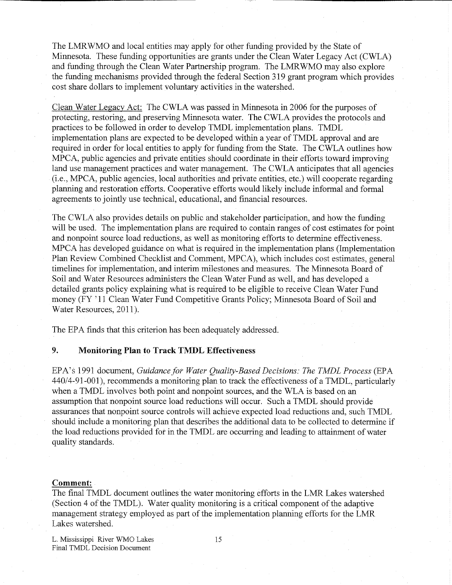The LMRWMO and local entities may apply for other funding provided by the State of Minnesota. These funding opportunities are grants under the Clean Water Legacy Act (CWLA) and funding through the Clean Water Partnership program. The LMRWMO may also explore the funding mechanisms provided through the federal Section 319 grant program which provides cost share dollars to implement voluntary activities in the watershed.

Clean Water Legacy Act: The CWL A was passed in Minnesota in 2006 for the purposes of protecting, restoring, and preserving Minnesota water. The CWLA provides the protocols and practices to be followed in order to develop TMDL implementation plans. TMDL implementation plans are expected to be developed within a year of TMDL approval and are required in order for local entities to apply for funding from the State. The CWLA outlines how MPCA, public agencies and private entities should coordinate in their efforts toward improving land use management practices and water management. The CWLA anticipates that all agencies (i.e., MPCA, public agencies, local authorities and private entities, etc.) will cooperate regarding planning and restoration efforts. Cooperative efforts would likely include informal and formal agreements to jointly use technical, educational, and financial resources.

The CWLA also provides details on public and stakeholder participation, and how the funding will be used. The implementation plans are required to contain ranges of cost estimates for point and nonpoint source load reductions, as well as monitoring efforts to determine effectiveness. MPCA has developed guidance on what is required in the implementation plans (Implementation Plan Review Combined Checklist and Comment, MPCA), which includes cost estimates, general timelines for implementation, and interim milestones and measures. The Minnesota Board of Soil and Water Resources administers the Clean Water Fund as well, and has developed a detailed grants policy explaining what is required to be eligible to receive Clean Water Fund money (FY '11 Clean Water Fund Competitive Grants Policy; Minnesota Board of Soil and Water Resources, 2011).

The EPA finds that this criterion has been adequately addressed.

## **9. Monitoring Plan to Track TMDL Effectiveness**

EPA's 1991 document, *Guidance for Water Quality-Based Decisions: The TMDL Process* (EPA 440/4-91-001), recommends a monitoring plan to track the effectiveness of a TMDL, particularly when a TMDL involves both point and nonpoint sources, and the WLA is based on an assumption that nonpoint source load reductions will occur. Such a TMDL should provide assurances that nonpoint source controls will achieve expected load reductions and, such TMDL should include a monitoring plan that describes the additional data to be collected to determine if the load reductions provided for in the TMDL are occurring and leading to attainment of water quality standards.

#### **Comment:**

The final TMDL document outlines the water monitoring efforts in the LMR Lakes watershed (Section 4 of the TMDL). Water quality monitoring is a critical component of the adaptive management strategy employed as part of the implementation planning efforts for the LMR Lakes watershed.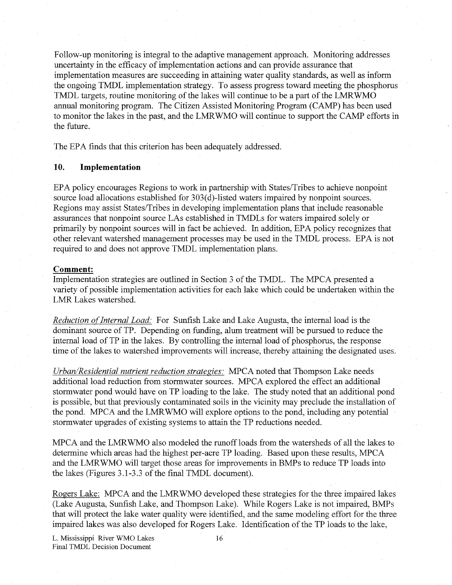Follow-up monitoring is integral to the adaptive management approach. Monitoring addresses uncertainty in the efficacy of implementation actions and can provide assurance that implementation measures are succeeding in attaining water quality standards, as well as inform the ongoing TMDL implementation strategy. To assess progress toward meeting the phosphorus TMDL targets, routine monitoring of the lakes will continue to be a part of the LMRWM O annual monitoring program. The Citizen Assisted Monitoring Program (CAMP) has been used to monitor the lakes in the past, and the LMRWMO will continue to support the CAMP efforts in the future.

The EPA finds that this criterion has been adequately addressed.

## **10. Implementation**

EPA policy encourages Regions to work in partnership with States/Tribes to achieve nonpoint source load allocations established for 303(d)-listed waters impaired by nonpoint sources. Regions may assist States/Tribes in developing implementation plans that include reasonable assurances that nonpoint source LAs established in TMDLs for waters impaired solely or primarily by nonpoint sources will in fact be achieved. In addition, EPA policy recognizes that other relevant watershed management processes may be used in the TMDL process. EPA is not required to and does not approve TMDL implementation plans.

#### **Comment:**

Implementation strategies are outlined in Section 3 of the TMDL. The MPCA presented a variety of possible implementation activities for each lake which could be undertaken within the LMR Lakes watershed.

*Reduction of Internal Load:* For Sunfish Lake and Lake Augusta, the internal load is the dominant source of TP. Depending on funding, alum treatment will be pursued to reduce the internal load of TP in the lakes. By controlling the internal load of phosphorus, the response time of the lakes to watershed improvements will increase, thereby attaining the designated uses.

*Urban/Residential nutrient reduction strategies:* MPCA noted that Thompson Lake needs additional load reduction from stormwater sources. MPCA explored the effect an additional stormwater pond would have on TP loading to the lake. The study noted that an additional pond is possible, but that previously contaminated soils in the vicimty may preclude the installation of the pond. MPCA and the LMRWMO will explore options to the pond, including any potential stormwater upgrades of existing systems to attain the TP reductions needed.

MPCA and the LMRWMO also modeled the runoff loads from the watersheds of all the lakes to determine which areas had the highest per-acre TP loading. Based upon these results, MPCA and the LMRWMO will target those areas for improvements in BMPs to reduce TP loads into the lakes (Figures 3.1-3.3 of the final TMDL document).

Rogers Lake: MPCA and the LMRWMO developed these strategies for the three impaired lakes (Lake Augusta, Sunfish Lake, and Thompson Lake). While Rogers Lake is not impaired, BMPs that will protect the lake water quality were identified, and the same modeling effort for the three impaired lakes was also developed for Rogers Lake. Identification of the TP loads to the lake,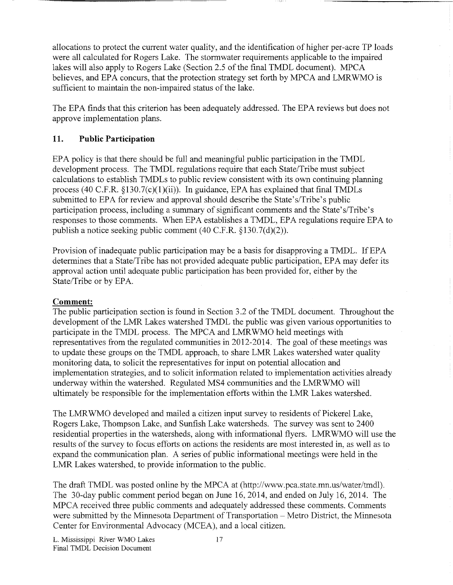allocations to protect the current water quality, and the identification of higher per-acre TP loads were all calculated for Rogers Lake. The stormwater requirements applicable to the impaired lakes will also apply to Rogers Lake (Section 2.5 of the final TMDL document). MPCA believes, and EPA concurs, that the protection strategy set forth by MPCA and LMRWMO is sufficient to maintain the non-impaired status of the lake.

The EPA finds that this criterion has been adequately addressed. The EPA reviews but does not approve implementation plans.

# **11. Public Participation**

E PA policy is that there should be full and meaningful public participation in the TMDL development process. The TMDL regulations require that each State/Tribe must subject calculations to establish TMDLs to public review consistent with its own continuing planning process (40 C.F.R.  $\S$ 130.7(c)(1)(ii)). In guidance, EPA has explained that final TMDLs submitted to EPA for review and approval should describe the State's/Tribe's public participation process, including a summary of significant comments and the State's/Tribe's responses to those comments. When EPA establishes a TMDL, EPA regulations require EPA to publish a notice seeking public comment (40 C.F.R. § 130.7(d)(2)).

Provision of inadequate public participation may be a basis for disapproving a TMDL. If EPA determines that a State/Tribe has not provided adequate public participation, EPA may defer its approval action until adequate public participation has been provided for, either by the State/Tribe or by EPA.

# **Comment:**

The public participation section is found in Section 3.2 of the TMDL document. Throughout the development of the LMR Lakes watershed TMDL the public was given various opportunities to participate in the TMDL process. The MPCA and LMRWMO held meetings with representatives from the regulated communities in 2012-2014. The goal of these meetings was to update these groups on the TMDL approach, to share LMR Lakes watershed water quality monitoring data, to solicit the representatives for input on potential allocation and implementation strategies, and to solicit information related to implementation activities already underway within the watershed. Regulated MS4 communities and the LMRWMO will ultimately be responsible for the implementation efforts within the LMR Lakes watershed.

The LMRWMO developed and mailed a citizen input survey to residents of Pickerel Lake, Rogers Lake, Thompson Lake, and Sunfish Lake watersheds. The survey was sent to 2400 residential properties in the watersheds, along with informational flyers. LMRWMO will use the results of the survey to focus efforts on actions the residents are most interested in, as well as to expand the communication plan. A series of public informational meetings were held in the LMR Lakes watershed, to provide information to the public.

The draft TMDL was posted online by the MPCA at (http://www.pca.state.mn.us/water/tmdl). The 30-day public comment period began on June 16, 2014, and ended on July 16, 2014. The MPCA received three public comments and adequately addressed these comments. Comments were submitted by the Minnesota Department of Transportation - Metro District, the Minnesota Center for Environmental Advocacy (MCEA), and a local citizen.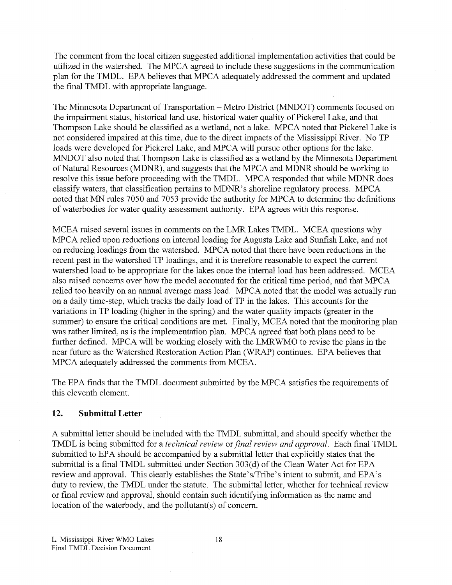The comment from the local citizen suggested additional implementation activities that could be utilized in the watershed. The MPCA agreed to include these suggestions in the communication plan for the TMDL. EPA believes that MPCA adequately addressed the comment and updated the final TMDL with appropriate language.

The Minnesota Department of Transportation - Metro District (MNDOT) comments focused on the impairment status, historical land use, historical water quality of Pickerel Lake, and that Thompson Lake should be classified as a wetland, not a lake. MPCA noted that Pickerel Lake is not considered impaired at this time, due to the direct impacts of the Mississippi River. No TP loads were developed for Pickerel Lake, and MPCA will pursue other options for the lake. MNDOT also noted that Thompson Lake is classified as a wetland by the Minnesota Department of Natural Resources (MDNR), and suggests that the MPCA and MDNR should be working to resolve this issue before proceeding with the TMDL. MPCA responded that while MDNR does classify waters, that classification pertains to MDNR's shoreline regulatory process. MPCA noted that MN rules 7050 and 7053 provide the authority for MPCA to determine the definitions of waterbodies for water quality assessment authority. EPA agrees with this response.

MCEA raised several issues in comments on the LMR Lakes TMDL. MCEA questions why MPCA relied upon reductions on internal loading for Augusta Lake and Sunfish Lake, and not on reducing loadings from the watershed. MPCA noted that there have been reductions in the recent past in the watershed TP loadings, and it is therefore reasonable to expect the current watershed load to be appropriate for the lakes once the internal load has been addressed. MCEA also raised concerns over how the model accounted for the critical time period, and that MPCA relied too heavily on an annual average mass load. MPCA noted that the model was actually run on a daily time-step, which tracks the daily load of TP in the lakes. This accounts for the variations in TP loading (higher in the spring) and the water quality impacts (greater in the summer) to ensure the critical conditions are met. Finally, MCEA noted that the monitoring plan was rather limited, as is the implementation plan. MPCA agreed that both plans need to be further defined. MPCA will be working closely with the LMRWMO to revise the plans in the near future as the Watershed Restoration Action Plan (WRAP) continues. EPA believes that MPCA adequately addressed the comments from MCEA.

The EPA finds that the TMDL document submitted by the MPC A satisfies the requirements of this eleventh element.

#### **12. Submittal Letter**

A submittal letter should be included with the TMDL submittal, and should specify whether the TMDL is being submitted for a *technical review* or *final review and approval*. Each final TMDL submitted to EPA should be accompanied by a submittal letter that explicitly states that the submittal is a final TMDL submitted under Section 303(d) of the Clean Water Act for EPA review and approval. This clearly establishes the State's/Tribe's intent to submit, and EPA's duty to review, the TMDL under the statute. The submittal letter, whether for technical review or final review and approval, should contain such identifying information as the name and location of the waterbody, and the pollutant(s) of concern.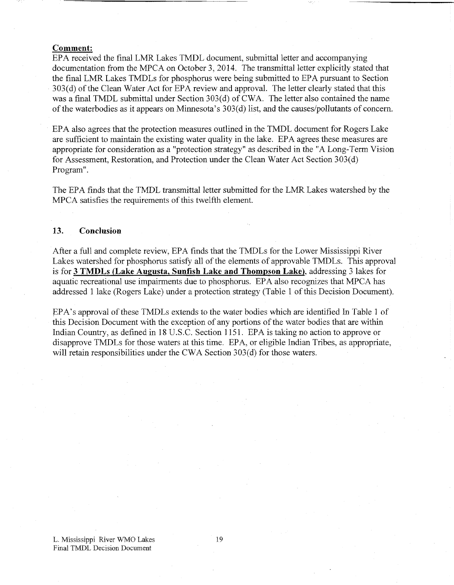#### **Comment:**

EPA received the final LMR Lakes TMDL document, submittal letter and accompanying documentation from the MPCA on October 3, 2014. The transmittal letter explicitly stated that the final LMR Lakes TMDLs for phosphorus were being submitted to EPA pursuant to Section 303(d) of the Clean Water Act for EPA review and approval. The letter clearly stated that this was a final TMDL submittal under Section 303(d) of CWA. The letter also contained the name of the waterbodies as it appears on Minnesota's 303(d) list, and the causes/pollutants of concern.

E PA also agrees that the protection measures outlined in the TMDL document for Rogers Lake are sufficient to maintain the existing water quality in the lake. EPA agrees these measures are appropriate for consideration as a "protection strategy" as described in the "A Long-Term Vision for Assessment, Restoration, and Protection under the Clean Water Act Section 303(d) Program".

The EPA finds that the TMDL transmittal letter submitted for the LMR Lakes watershed by the MPCA satisfies the requirements of this twelfth element.

### **13. Conclusion**

After a full and complete review, EPA finds that the TMDLs for the Lower Mississippi River Lakes watershed for phosphorus satisfy all of the elements of approvable TMDLs. This approval is for **3 TMDLs (Lake Augusta, Sunfish Lake and Thompson Lake),** addressing 3 lakes for aquatic recreational use impairments due to phosphorus. EPA also recognizes that MPCA has addressed 1 lake (Rogers Lake) under a protection strategy (Table 1 of this Decision Document).

EPA's approval of these TMDLs extends to the water bodies which are identified In Table 1 of this Decision Document with the exception of any portions of the water bodies that are within Indian Country, as defined in 18 U.S.C. Section 1151. EPA is taking no action to approve or disapprove TMDLs for those waters at this time. EPA, or eligible Indian Tribes, as appropriate, will retain responsibilities under the CWA Section 303(d) for those waters.